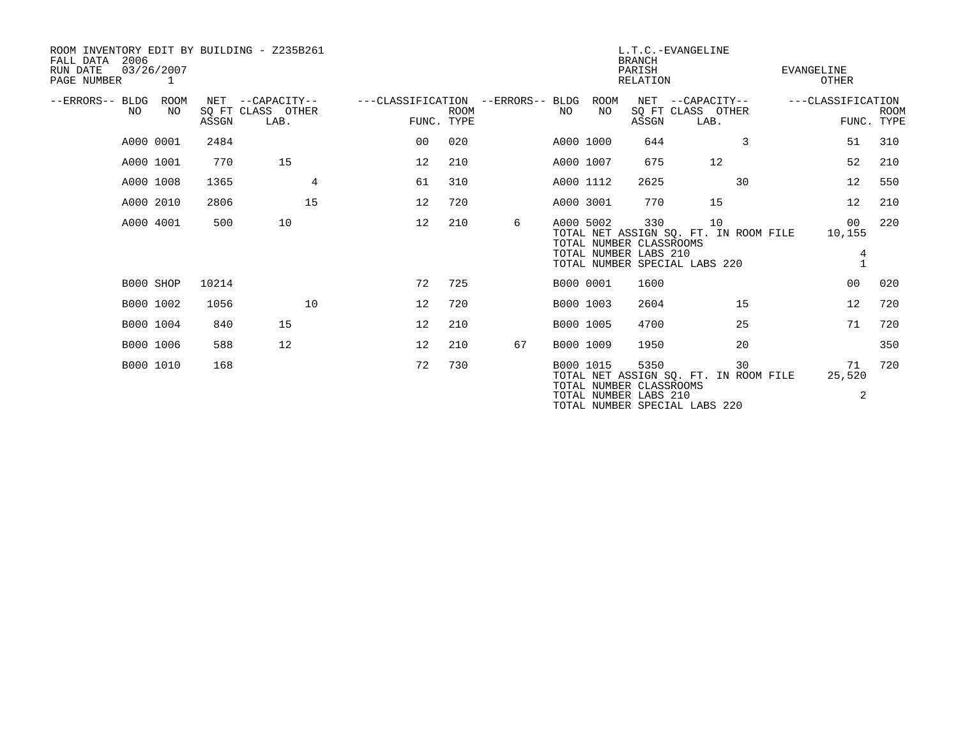| ROOM INVENTORY EDIT BY BUILDING - Z235B261<br>2006<br>FALL DATA<br>03/26/2007<br>RUN DATE<br>PAGE NUMBER | $\overline{1}$ |       |                                               |                                                 |             |    |     |            | <b>BRANCH</b><br>PARISH<br>RELATION                      | L.T.C.-EVANGELINE                                                            |    | EVANGELINE        | OTHER             |             |
|----------------------------------------------------------------------------------------------------------|----------------|-------|-----------------------------------------------|-------------------------------------------------|-------------|----|-----|------------|----------------------------------------------------------|------------------------------------------------------------------------------|----|-------------------|-------------------|-------------|
| --ERRORS-- BLDG<br>NO                                                                                    | ROOM<br>NO.    | ASSGN | NET --CAPACITY--<br>SQ FT CLASS OTHER<br>LAB. | ---CLASSIFICATION --ERRORS-- BLDG<br>FUNC. TYPE | <b>ROOM</b> |    | NO. | ROOM<br>NO | ASSGN                                                    | NET --CAPACITY--<br>SQ FT CLASS OTHER<br>LAB.                                |    | ---CLASSIFICATION | FUNC. TYPE        | <b>ROOM</b> |
|                                                                                                          | A000 0001      | 2484  |                                               | 00                                              | 020         |    |     | A000 1000  | 644                                                      |                                                                              | 3  |                   | 51                | 310         |
|                                                                                                          | A000 1001      | 770   | 15                                            | 12                                              | 210         |    |     | A000 1007  | 675                                                      | 12                                                                           |    |                   | 52                | 210         |
|                                                                                                          | A000 1008      | 1365  | 4                                             | 61                                              | 310         |    |     | A000 1112  | 2625                                                     |                                                                              | 30 |                   | 12                | 550         |
|                                                                                                          | A000 2010      | 2806  | 15                                            | 12                                              | 720         |    |     | A000 3001  | 770                                                      | 15                                                                           |    |                   | 12                | 210         |
|                                                                                                          | A000 4001      | 500   | 10                                            | 12                                              | 210         | 6  |     | A000 5002  | 330<br>TOTAL NUMBER CLASSROOMS<br>TOTAL NUMBER LABS 210  | 10<br>TOTAL NET ASSIGN SO. FT. IN ROOM FILE<br>TOTAL NUMBER SPECIAL LABS 220 |    |                   | 00<br>10,155<br>4 | 220         |
|                                                                                                          | B000 SHOP      | 10214 |                                               | 72                                              | 725         |    |     | B000 0001  | 1600                                                     |                                                                              |    |                   | 0 <sub>0</sub>    | 020         |
|                                                                                                          | B000 1002      | 1056  | 10                                            | 12                                              | 720         |    |     | B000 1003  | 2604                                                     |                                                                              | 15 |                   | 12                | 720         |
|                                                                                                          | B000 1004      | 840   | 15                                            | 12                                              | 210         |    |     | B000 1005  | 4700                                                     |                                                                              | 25 |                   | 71                | 720         |
|                                                                                                          | B000 1006      | 588   | 12                                            | 12                                              | 210         | 67 |     | B000 1009  | 1950                                                     |                                                                              | 20 |                   |                   | 350         |
|                                                                                                          | B000 1010      | 168   |                                               | 72                                              | 730         |    |     | B000 1015  | 5350<br>TOTAL NUMBER CLASSROOMS<br>TOTAL NUMBER LABS 210 | TOTAL NET ASSIGN SO. FT. IN ROOM FILE<br>TOTAL NUMBER SPECIAL LABS 220       | 30 |                   | 71<br>25,520<br>2 | 720         |